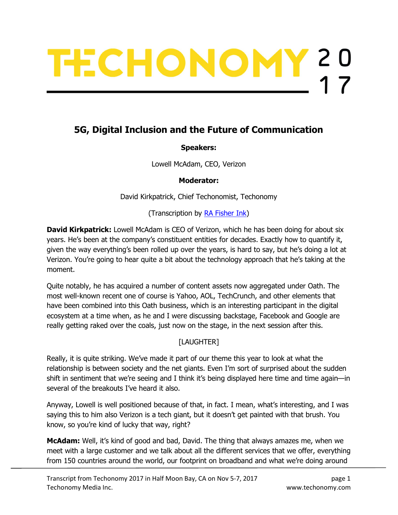# TECHONOMY?

# 5G, Digital Inclusion and the Future of Communication

#### Speakers:

Lowell McAdam, CEO, Verizon

Moderator:

David Kirkpatrick, Chief Techonomist, Techonomy

(Transcription by **RA Fisher Ink)** 

**David Kirkpatrick:** Lowell McAdam is CEO of Verizon, which he has been doing for about six years. He's been at the company's constituent entities for decades. Exactly how to quantify it, given the way everything's been rolled up over the years, is hard to say, but he's doing a lot at Verizon. You're going to hear quite a bit about the technology approach that he's taking at the moment.

Quite notably, he has acquired a number of content assets now aggregated under Oath. The most well-known recent one of course is Yahoo, AOL, TechCrunch, and other elements that have been combined into this Oath business, which is an interesting participant in the digital ecosystem at a time when, as he and I were discussing backstage, Facebook and Google are really getting raked over the coals, just now on the stage, in the next session after this.

## [LAUGHTER]

Really, it is quite striking. We've made it part of our theme this year to look at what the relationship is between society and the net giants. Even I'm sort of surprised about the sudden shift in sentiment that we're seeing and I think it's being displayed here time and time again—in several of the breakouts I've heard it also.

Anyway, Lowell is well positioned because of that, in fact. I mean, what's interesting, and I was saying this to him also Verizon is a tech giant, but it doesn't get painted with that brush. You know, so you're kind of lucky that way, right?

**McAdam:** Well, it's kind of good and bad, David. The thing that always amazes me, when we meet with a large customer and we talk about all the different services that we offer, everything from 150 countries around the world, our footprint on broadband and what we're doing around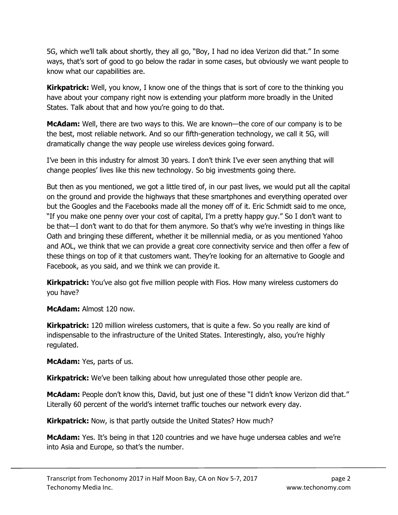5G, which we'll talk about shortly, they all go, "Boy, I had no idea Verizon did that." In some ways, that's sort of good to go below the radar in some cases, but obviously we want people to know what our capabilities are.

**Kirkpatrick:** Well, you know, I know one of the things that is sort of core to the thinking you have about your company right now is extending your platform more broadly in the United States. Talk about that and how you're going to do that.

**McAdam:** Well, there are two ways to this. We are known—the core of our company is to be the best, most reliable network. And so our fifth-generation technology, we call it 5G, will dramatically change the way people use wireless devices going forward.

I've been in this industry for almost 30 years. I don't think I've ever seen anything that will change peoples' lives like this new technology. So big investments going there.

But then as you mentioned, we got a little tired of, in our past lives, we would put all the capital on the ground and provide the highways that these smartphones and everything operated over but the Googles and the Facebooks made all the money off of it. Eric Schmidt said to me once, "If you make one penny over your cost of capital, I'm a pretty happy guy." So I don't want to be that—I don't want to do that for them anymore. So that's why we're investing in things like Oath and bringing these different, whether it be millennial media, or as you mentioned Yahoo and AOL, we think that we can provide a great core connectivity service and then offer a few of these things on top of it that customers want. They're looking for an alternative to Google and Facebook, as you said, and we think we can provide it.

**Kirkpatrick:** You've also got five million people with Fios. How many wireless customers do you have?

McAdam: Almost 120 now.

Kirkpatrick: 120 million wireless customers, that is quite a few. So you really are kind of indispensable to the infrastructure of the United States. Interestingly, also, you're highly regulated.

McAdam: Yes, parts of us.

**Kirkpatrick:** We've been talking about how unregulated those other people are.

**McAdam:** People don't know this, David, but just one of these "I didn't know Verizon did that." Literally 60 percent of the world's internet traffic touches our network every day.

**Kirkpatrick:** Now, is that partly outside the United States? How much?

**McAdam:** Yes. It's being in that 120 countries and we have huge undersea cables and we're into Asia and Europe, so that's the number.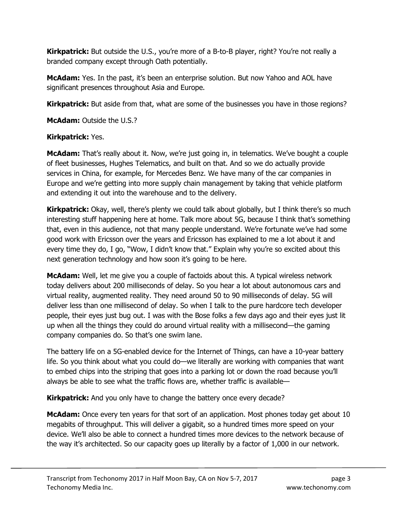**Kirkpatrick:** But outside the U.S., you're more of a B-to-B player, right? You're not really a branded company except through Oath potentially.

McAdam: Yes. In the past, it's been an enterprise solution. But now Yahoo and AOL have significant presences throughout Asia and Europe.

**Kirkpatrick:** But aside from that, what are some of the businesses you have in those regions?

McAdam: Outside the U.S.?

#### Kirkpatrick: Yes.

McAdam: That's really about it. Now, we're just going in, in telematics. We've bought a couple of fleet businesses, Hughes Telematics, and built on that. And so we do actually provide services in China, for example, for Mercedes Benz. We have many of the car companies in Europe and we're getting into more supply chain management by taking that vehicle platform and extending it out into the warehouse and to the delivery.

**Kirkpatrick:** Okay, well, there's plenty we could talk about globally, but I think there's so much interesting stuff happening here at home. Talk more about 5G, because I think that's something that, even in this audience, not that many people understand. We're fortunate we've had some good work with Ericsson over the years and Ericsson has explained to me a lot about it and every time they do, I go, "Wow, I didn't know that." Explain why you're so excited about this next generation technology and how soon it's going to be here.

**McAdam:** Well, let me give you a couple of factoids about this. A typical wireless network today delivers about 200 milliseconds of delay. So you hear a lot about autonomous cars and virtual reality, augmented reality. They need around 50 to 90 milliseconds of delay. 5G will deliver less than one millisecond of delay. So when I talk to the pure hardcore tech developer people, their eyes just bug out. I was with the Bose folks a few days ago and their eyes just lit up when all the things they could do around virtual reality with a millisecond—the gaming company companies do. So that's one swim lane.

The battery life on a 5G-enabled device for the Internet of Things, can have a 10-year battery life. So you think about what you could do—we literally are working with companies that want to embed chips into the striping that goes into a parking lot or down the road because you'll always be able to see what the traffic flows are, whether traffic is available—

**Kirkpatrick:** And you only have to change the battery once every decade?

McAdam: Once every ten years for that sort of an application. Most phones today get about 10 megabits of throughput. This will deliver a gigabit, so a hundred times more speed on your device. We'll also be able to connect a hundred times more devices to the network because of the way it's architected. So our capacity goes up literally by a factor of 1,000 in our network.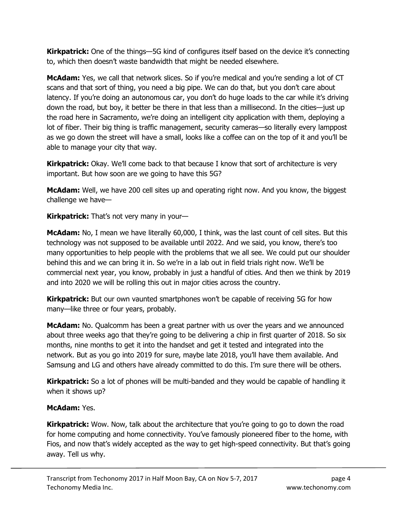**Kirkpatrick:** One of the things—5G kind of configures itself based on the device it's connecting to, which then doesn't waste bandwidth that might be needed elsewhere.

**McAdam:** Yes, we call that network slices. So if you're medical and you're sending a lot of CT scans and that sort of thing, you need a big pipe. We can do that, but you don't care about latency. If you're doing an autonomous car, you don't do huge loads to the car while it's driving down the road, but boy, it better be there in that less than a millisecond. In the cities—just up the road here in Sacramento, we're doing an intelligent city application with them, deploying a lot of fiber. Their big thing is traffic management, security cameras—so literally every lamppost as we go down the street will have a small, looks like a coffee can on the top of it and you'll be able to manage your city that way.

Kirkpatrick: Okay. We'll come back to that because I know that sort of architecture is very important. But how soon are we going to have this 5G?

**McAdam:** Well, we have 200 cell sites up and operating right now. And you know, the biggest challenge we have—

**Kirkpatrick:** That's not very many in your-

**McAdam:** No, I mean we have literally 60,000, I think, was the last count of cell sites. But this technology was not supposed to be available until 2022. And we said, you know, there's too many opportunities to help people with the problems that we all see. We could put our shoulder behind this and we can bring it in. So we're in a lab out in field trials right now. We'll be commercial next year, you know, probably in just a handful of cities. And then we think by 2019 and into 2020 we will be rolling this out in major cities across the country.

**Kirkpatrick:** But our own vaunted smartphones won't be capable of receiving 5G for how many—like three or four years, probably.

McAdam: No. Qualcomm has been a great partner with us over the years and we announced about three weeks ago that they're going to be delivering a chip in first quarter of 2018. So six months, nine months to get it into the handset and get it tested and integrated into the network. But as you go into 2019 for sure, maybe late 2018, you'll have them available. And Samsung and LG and others have already committed to do this. I'm sure there will be others.

**Kirkpatrick:** So a lot of phones will be multi-banded and they would be capable of handling it when it shows up?

#### McAdam: Yes.

**Kirkpatrick:** Wow. Now, talk about the architecture that you're going to go to down the road for home computing and home connectivity. You've famously pioneered fiber to the home, with Fios, and now that's widely accepted as the way to get high-speed connectivity. But that's going away. Tell us why.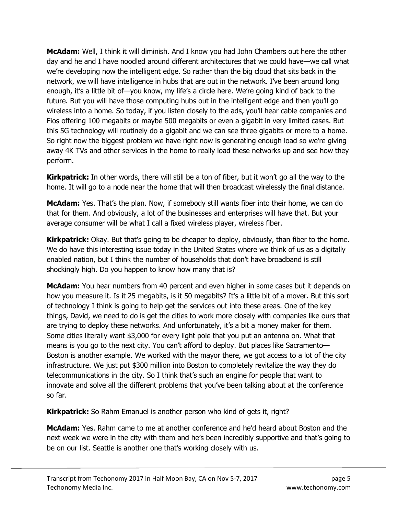**McAdam:** Well, I think it will diminish. And I know you had John Chambers out here the other day and he and I have noodled around different architectures that we could have—we call what we're developing now the intelligent edge. So rather than the big cloud that sits back in the network, we will have intelligence in hubs that are out in the network. I've been around long enough, it's a little bit of—you know, my life's a circle here. We're going kind of back to the future. But you will have those computing hubs out in the intelligent edge and then you'll go wireless into a home. So today, if you listen closely to the ads, you'll hear cable companies and Fios offering 100 megabits or maybe 500 megabits or even a gigabit in very limited cases. But this 5G technology will routinely do a gigabit and we can see three gigabits or more to a home. So right now the biggest problem we have right now is generating enough load so we're giving away 4K TVs and other services in the home to really load these networks up and see how they perform.

**Kirkpatrick:** In other words, there will still be a ton of fiber, but it won't go all the way to the home. It will go to a node near the home that will then broadcast wirelessly the final distance.

McAdam: Yes. That's the plan. Now, if somebody still wants fiber into their home, we can do that for them. And obviously, a lot of the businesses and enterprises will have that. But your average consumer will be what I call a fixed wireless player, wireless fiber.

**Kirkpatrick:** Okay. But that's going to be cheaper to deploy, obviously, than fiber to the home. We do have this interesting issue today in the United States where we think of us as a digitally enabled nation, but I think the number of households that don't have broadband is still shockingly high. Do you happen to know how many that is?

**McAdam:** You hear numbers from 40 percent and even higher in some cases but it depends on how you measure it. Is it 25 megabits, is it 50 megabits? It's a little bit of a mover. But this sort of technology I think is going to help get the services out into these areas. One of the key things, David, we need to do is get the cities to work more closely with companies like ours that are trying to deploy these networks. And unfortunately, it's a bit a money maker for them. Some cities literally want \$3,000 for every light pole that you put an antenna on. What that means is you go to the next city. You can't afford to deploy. But places like Sacramento— Boston is another example. We worked with the mayor there, we got access to a lot of the city infrastructure. We just put \$300 million into Boston to completely revitalize the way they do telecommunications in the city. So I think that's such an engine for people that want to innovate and solve all the different problems that you've been talking about at the conference so far.

Kirkpatrick: So Rahm Emanuel is another person who kind of gets it, right?

McAdam: Yes. Rahm came to me at another conference and he'd heard about Boston and the next week we were in the city with them and he's been incredibly supportive and that's going to be on our list. Seattle is another one that's working closely with us.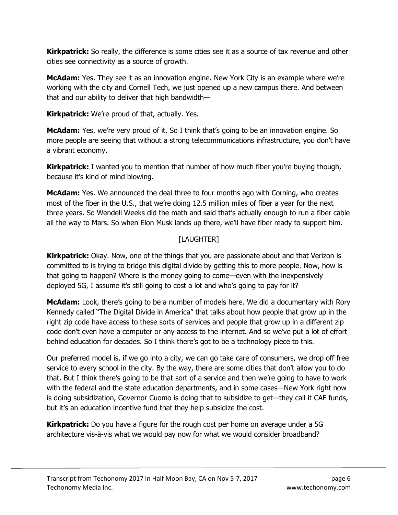**Kirkpatrick:** So really, the difference is some cities see it as a source of tax revenue and other cities see connectivity as a source of growth.

**McAdam:** Yes. They see it as an innovation engine. New York City is an example where we're working with the city and Cornell Tech, we just opened up a new campus there. And between that and our ability to deliver that high bandwidth—

Kirkpatrick: We're proud of that, actually. Yes.

**McAdam:** Yes, we're very proud of it. So I think that's going to be an innovation engine. So more people are seeing that without a strong telecommunications infrastructure, you don't have a vibrant economy.

**Kirkpatrick:** I wanted you to mention that number of how much fiber you're buying though, because it's kind of mind blowing.

McAdam: Yes. We announced the deal three to four months ago with Corning, who creates most of the fiber in the U.S., that we're doing 12.5 million miles of fiber a year for the next three years. So Wendell Weeks did the math and said that's actually enough to run a fiber cable all the way to Mars. So when Elon Musk lands up there, we'll have fiber ready to support him.

## [LAUGHTER]

**Kirkpatrick:** Okay. Now, one of the things that you are passionate about and that Verizon is committed to is trying to bridge this digital divide by getting this to more people. Now, how is that going to happen? Where is the money going to come—even with the inexpensively deployed 5G, I assume it's still going to cost a lot and who's going to pay for it?

**McAdam:** Look, there's going to be a number of models here. We did a documentary with Rory Kennedy called "The Digital Divide in America" that talks about how people that grow up in the right zip code have access to these sorts of services and people that grow up in a different zip code don't even have a computer or any access to the internet. And so we've put a lot of effort behind education for decades. So I think there's got to be a technology piece to this.

Our preferred model is, if we go into a city, we can go take care of consumers, we drop off free service to every school in the city. By the way, there are some cities that don't allow you to do that. But I think there's going to be that sort of a service and then we're going to have to work with the federal and the state education departments, and in some cases—New York right now is doing subsidization, Governor Cuomo is doing that to subsidize to get—they call it CAF funds, but it's an education incentive fund that they help subsidize the cost.

**Kirkpatrick:** Do you have a figure for the rough cost per home on average under a 5G architecture vis-à-vis what we would pay now for what we would consider broadband?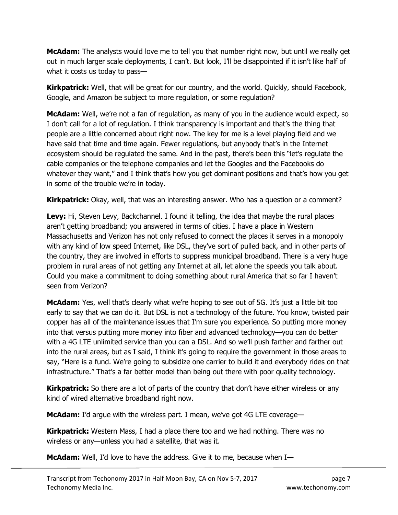**McAdam:** The analysts would love me to tell you that number right now, but until we really get out in much larger scale deployments, I can't. But look, I'll be disappointed if it isn't like half of what it costs us today to pass—

**Kirkpatrick:** Well, that will be great for our country, and the world. Quickly, should Facebook, Google, and Amazon be subject to more regulation, or some regulation?

McAdam: Well, we're not a fan of regulation, as many of you in the audience would expect, so I don't call for a lot of regulation. I think transparency is important and that's the thing that people are a little concerned about right now. The key for me is a level playing field and we have said that time and time again. Fewer regulations, but anybody that's in the Internet ecosystem should be regulated the same. And in the past, there's been this "let's regulate the cable companies or the telephone companies and let the Googles and the Facebooks do whatever they want," and I think that's how you get dominant positions and that's how you get in some of the trouble we're in today.

Kirkpatrick: Okay, well, that was an interesting answer. Who has a question or a comment?

Levy: Hi, Steven Levy, Backchannel. I found it telling, the idea that maybe the rural places aren't getting broadband; you answered in terms of cities. I have a place in Western Massachusetts and Verizon has not only refused to connect the places it serves in a monopoly with any kind of low speed Internet, like DSL, they've sort of pulled back, and in other parts of the country, they are involved in efforts to suppress municipal broadband. There is a very huge problem in rural areas of not getting any Internet at all, let alone the speeds you talk about. Could you make a commitment to doing something about rural America that so far I haven't seen from Verizon?

**McAdam:** Yes, well that's clearly what we're hoping to see out of 5G. It's just a little bit too early to say that we can do it. But DSL is not a technology of the future. You know, twisted pair copper has all of the maintenance issues that I'm sure you experience. So putting more money into that versus putting more money into fiber and advanced technology—you can do better with a 4G LTE unlimited service than you can a DSL. And so we'll push farther and farther out into the rural areas, but as I said, I think it's going to require the government in those areas to say, "Here is a fund. We're going to subsidize one carrier to build it and everybody rides on that infrastructure." That's a far better model than being out there with poor quality technology.

**Kirkpatrick:** So there are a lot of parts of the country that don't have either wireless or any kind of wired alternative broadband right now.

McAdam: I'd argue with the wireless part. I mean, we've got 4G LTE coverage-

**Kirkpatrick:** Western Mass, I had a place there too and we had nothing. There was no wireless or any—unless you had a satellite, that was it.

McAdam: Well, I'd love to have the address. Give it to me, because when I-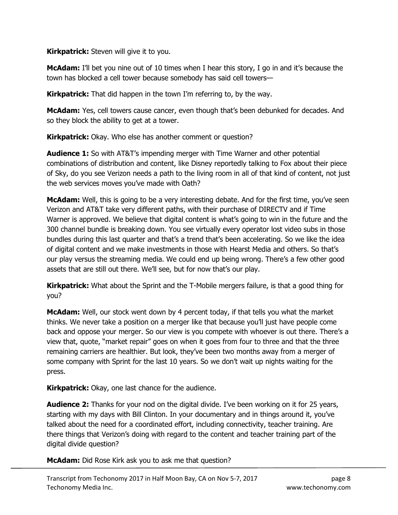**Kirkpatrick:** Steven will give it to you.

McAdam: I'll bet you nine out of 10 times when I hear this story, I go in and it's because the town has blocked a cell tower because somebody has said cell towers—

**Kirkpatrick:** That did happen in the town I'm referring to, by the way.

McAdam: Yes, cell towers cause cancer, even though that's been debunked for decades. And so they block the ability to get at a tower.

**Kirkpatrick:** Okay. Who else has another comment or question?

**Audience 1:** So with AT&T's impending merger with Time Warner and other potential combinations of distribution and content, like Disney reportedly talking to Fox about their piece of Sky, do you see Verizon needs a path to the living room in all of that kind of content, not just the web services moves you've made with Oath?

McAdam: Well, this is going to be a very interesting debate. And for the first time, you've seen Verizon and AT&T take very different paths, with their purchase of DIRECTV and if Time Warner is approved. We believe that digital content is what's going to win in the future and the 300 channel bundle is breaking down. You see virtually every operator lost video subs in those bundles during this last quarter and that's a trend that's been accelerating. So we like the idea of digital content and we make investments in those with Hearst Media and others. So that's our play versus the streaming media. We could end up being wrong. There's a few other good assets that are still out there. We'll see, but for now that's our play.

**Kirkpatrick:** What about the Sprint and the T-Mobile mergers failure, is that a good thing for you?

**McAdam:** Well, our stock went down by 4 percent today, if that tells you what the market thinks. We never take a position on a merger like that because you'll just have people come back and oppose your merger. So our view is you compete with whoever is out there. There's a view that, quote, "market repair" goes on when it goes from four to three and that the three remaining carriers are healthier. But look, they've been two months away from a merger of some company with Sprint for the last 10 years. So we don't wait up nights waiting for the press.

**Kirkpatrick:** Okay, one last chance for the audience.

Audience 2: Thanks for your nod on the digital divide. I've been working on it for 25 years, starting with my days with Bill Clinton. In your documentary and in things around it, you've talked about the need for a coordinated effort, including connectivity, teacher training. Are there things that Verizon's doing with regard to the content and teacher training part of the digital divide question?

McAdam: Did Rose Kirk ask you to ask me that question?